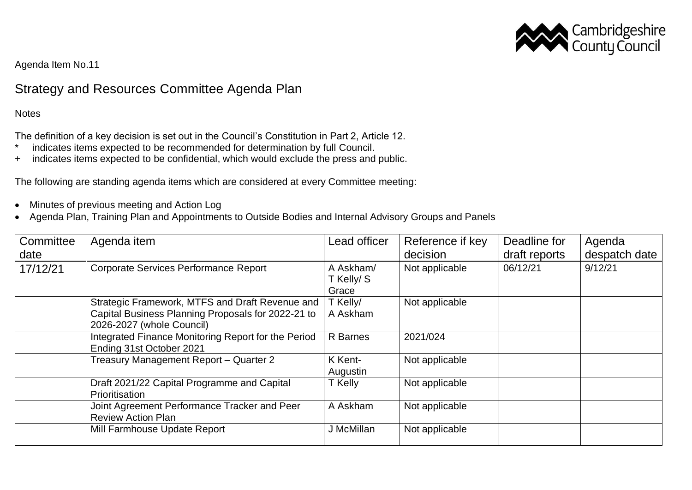

Agenda Item No.11

## Strategy and Resources Committee Agenda Plan

**Notes** 

The definition of a key decision is set out in the Council's Constitution in Part 2, Article 12.

- \* indicates items expected to be recommended for determination by full Council.
- + indicates items expected to be confidential, which would exclude the press and public.

The following are standing agenda items which are considered at every Committee meeting:

- Minutes of previous meeting and Action Log
- Agenda Plan, Training Plan and Appointments to Outside Bodies and Internal Advisory Groups and Panels

| Committee<br>date | Agenda item                                                                                                                        | Lead officer                    | Reference if key<br>decision | Deadline for<br>draft reports | Agenda<br>despatch date |
|-------------------|------------------------------------------------------------------------------------------------------------------------------------|---------------------------------|------------------------------|-------------------------------|-------------------------|
| 17/12/21          | <b>Corporate Services Performance Report</b>                                                                                       | A Askham/<br>T Kelly/S<br>Grace | Not applicable               | 06/12/21                      | 9/12/21                 |
|                   | Strategic Framework, MTFS and Draft Revenue and<br>Capital Business Planning Proposals for 2022-21 to<br>2026-2027 (whole Council) | T Kelly/<br>A Askham            | Not applicable               |                               |                         |
|                   | Integrated Finance Monitoring Report for the Period<br>Ending 31st October 2021                                                    | R Barnes                        | 2021/024                     |                               |                         |
|                   | Treasury Management Report - Quarter 2                                                                                             | K Kent-<br>Augustin             | Not applicable               |                               |                         |
|                   | Draft 2021/22 Capital Programme and Capital<br>Prioritisation                                                                      | T Kelly                         | Not applicable               |                               |                         |
|                   | Joint Agreement Performance Tracker and Peer<br><b>Review Action Plan</b>                                                          | A Askham                        | Not applicable               |                               |                         |
|                   | Mill Farmhouse Update Report                                                                                                       | J McMillan                      | Not applicable               |                               |                         |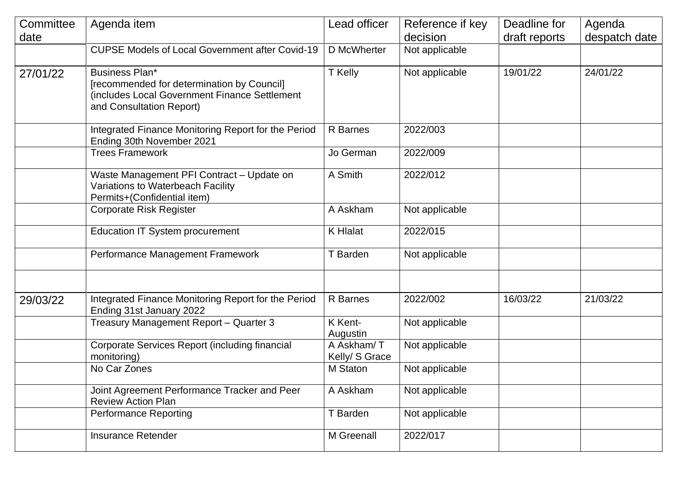| Committee<br>date | Agenda item                                                                                                                               | Lead officer                 | Reference if key<br>decision | Deadline for<br>draft reports | Agenda<br>despatch date |
|-------------------|-------------------------------------------------------------------------------------------------------------------------------------------|------------------------------|------------------------------|-------------------------------|-------------------------|
|                   | <b>CUPSE Models of Local Government after Covid-19</b>                                                                                    | D McWherter                  | Not applicable               |                               |                         |
| 27/01/22          | Business Plan*<br>[recommended for determination by Council]<br>(includes Local Government Finance Settlement<br>and Consultation Report) | T Kelly                      | Not applicable               | 19/01/22                      | 24/01/22                |
|                   | Integrated Finance Monitoring Report for the Period<br>Ending 30th November 2021                                                          | R Barnes                     | 2022/003                     |                               |                         |
|                   | <b>Trees Framework</b>                                                                                                                    | Jo German                    | 2022/009                     |                               |                         |
|                   | Waste Management PFI Contract - Update on<br>Variations to Waterbeach Facility<br>Permits+(Confidential item)                             | A Smith                      | 2022/012                     |                               |                         |
|                   | <b>Corporate Risk Register</b>                                                                                                            | A Askham                     | Not applicable               |                               |                         |
|                   | Education IT System procurement                                                                                                           | <b>K</b> Hlalat              | 2022/015                     |                               |                         |
|                   | Performance Management Framework                                                                                                          | T Barden                     | Not applicable               |                               |                         |
| 29/03/22          | Integrated Finance Monitoring Report for the Period<br>Ending 31st January 2022                                                           | R Barnes                     | 2022/002                     | 16/03/22                      | 21/03/22                |
|                   | Treasury Management Report - Quarter 3                                                                                                    | K Kent-<br>Augustin          | Not applicable               |                               |                         |
|                   | Corporate Services Report (including financial<br>monitoring)                                                                             | A Askham/T<br>Kelly/ S Grace | Not applicable               |                               |                         |
|                   | No Car Zones                                                                                                                              | M Staton                     | Not applicable               |                               |                         |
|                   | Joint Agreement Performance Tracker and Peer<br><b>Review Action Plan</b>                                                                 | A Askham                     | Not applicable               |                               |                         |
|                   | <b>Performance Reporting</b>                                                                                                              | T Barden                     | Not applicable               |                               |                         |
|                   | <b>Insurance Retender</b>                                                                                                                 | M Greenall                   | 2022/017                     |                               |                         |